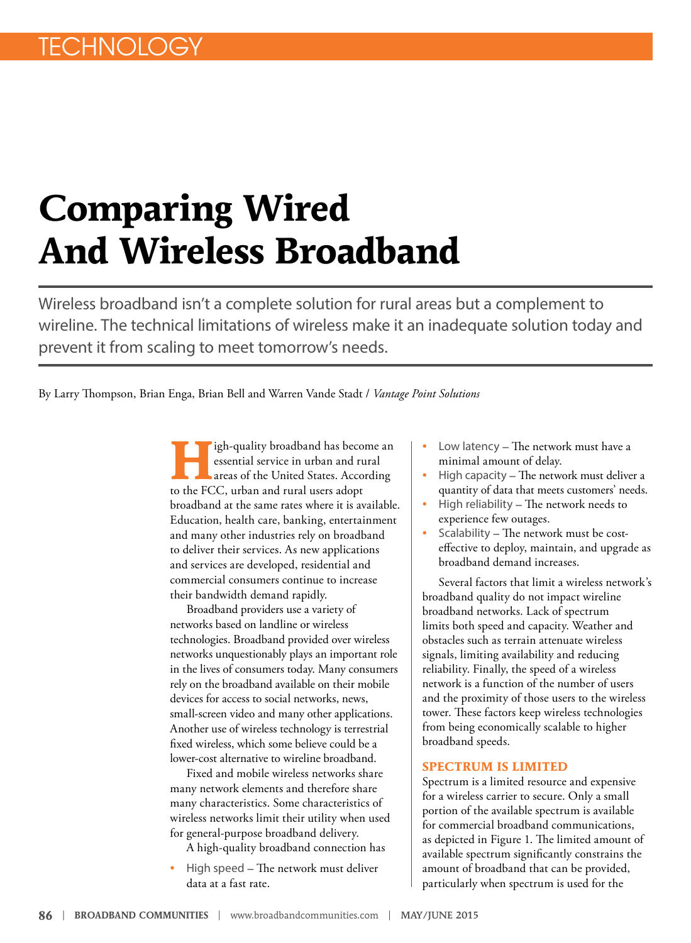# **Comparing Wired And Wireless Broadband**

Wireless broadband isn't a complete solution for rural areas but a complement to wireline. The technical limitations of wireless make it an inadequate solution today and prevent it from scaling to meet tomorrow's needs.

By Larry Thompson, Brian Enga, Brian Bell and Warren Vande Stadt / *Vantage Point Solutions* 

igh-quality broadband has become an essential service in urban and rural areas of the United States. According to the FCC, urban and rural users adopt broadband at the same rates where it is available. Education, health care, banking, entertainment and many other industries rely on broadband to deliver their services. As new applications and services are developed, residential and commercial consumers continue to increase their bandwidth demand rapidly.

Broadband providers use a variety of networks based on landline or wireless technologies. Broadband provided over wireless networks unquestionably plays an important role in the lives of consumers today. Many consumers rely on the broadband available on their mobile devices for access to social networks, news, small-screen video and many other applications. Another use of wireless technology is terrestrial fixed wireless, which some believe could be a lower-cost alternative to wireline broadband.

Fixed and mobile wireless networks share many network elements and therefore share many characteristics. Some characteristics of wireless networks limit their utility when used for general‐purpose broadband delivery.

A high‐quality broadband connection has

• High speed – The network must deliver data at a fast rate.

- Low latency The network must have a minimal amount of delay.
- High capacity The network must deliver a quantity of data that meets customers' needs.
- High reliability The network needs to experience few outages.
- Scalability The network must be costeffective to deploy, maintain, and upgrade as broadband demand increases.

Several factors that limit a wireless network's broadband quality do not impact wireline broadband networks. Lack of spectrum limits both speed and capacity. Weather and obstacles such as terrain attenuate wireless signals, limiting availability and reducing reliability. Finally, the speed of a wireless network is a function of the number of users and the proximity of those users to the wireless tower. These factors keep wireless technologies from being economically scalable to higher broadband speeds.

#### **SPECTRUM IS LIMITED**

Spectrum is a limited resource and expensive for a wireless carrier to secure. Only a small portion of the available spectrum is available for commercial broadband communications, as depicted in Figure 1. The limited amount of available spectrum significantly constrains the amount of broadband that can be provided, particularly when spectrum is used for the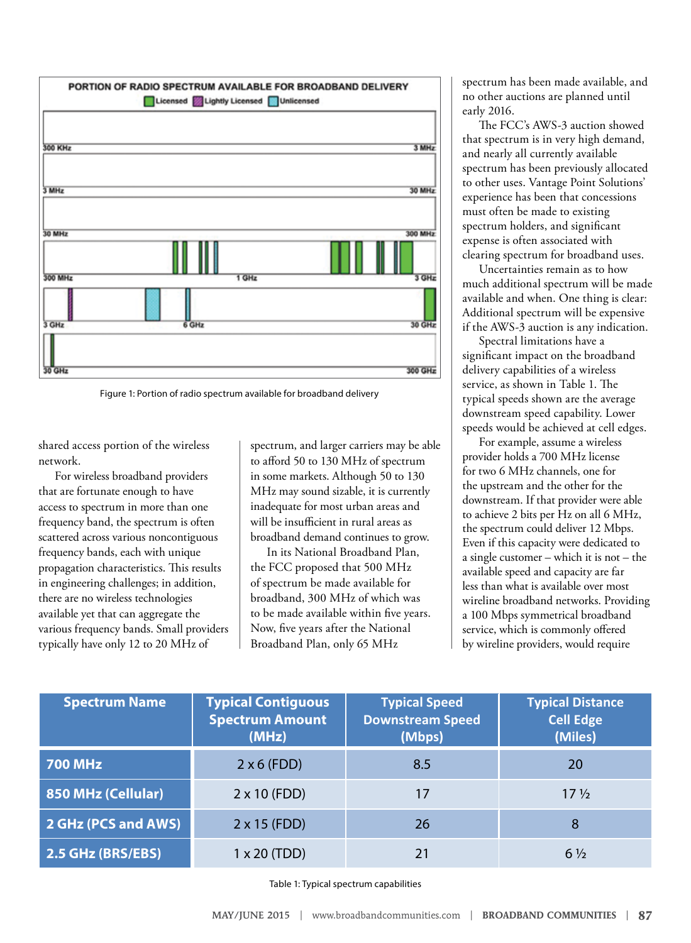

Figure 1: Portion of radio spectrum available for broadband delivery

shared access portion of the wireless network.

For wireless broadband providers that are fortunate enough to have access to spectrum in more than one frequency band, the spectrum is often scattered across various noncontiguous frequency bands, each with unique propagation characteristics. This results in engineering challenges; in addition, there are no wireless technologies available yet that can aggregate the various frequency bands. Small providers typically have only 12 to 20 MHz of

spectrum, and larger carriers may be able to afford 50 to 130 MHz of spectrum in some markets. Although 50 to 130 MHz may sound sizable, it is currently inadequate for most urban areas and will be insufficient in rural areas as broadband demand continues to grow.

In its National Broadband Plan, the FCC proposed that 500 MHz of spectrum be made available for broadband, 300 MHz of which was to be made available within five years. Now, five years after the National Broadband Plan, only 65 MHz

spectrum has been made available, and no other auctions are planned until early 2016.

The FCC's AWS‐3 auction showed that spectrum is in very high demand, and nearly all currently available spectrum has been previously allocated to other uses. Vantage Point Solutions' experience has been that concessions must often be made to existing spectrum holders, and significant expense is often associated with clearing spectrum for broadband uses.

Uncertainties remain as to how much additional spectrum will be made available and when. One thing is clear: Additional spectrum will be expensive if the AWS‐3 auction is any indication.

Spectral limitations have a significant impact on the broadband delivery capabilities of a wireless service, as shown in Table 1. The typical speeds shown are the average downstream speed capability. Lower speeds would be achieved at cell edges.

For example, assume a wireless provider holds a 700 MHz license for two 6 MHz channels, one for the upstream and the other for the downstream. If that provider were able to achieve 2 bits per Hz on all 6 MHz, the spectrum could deliver 12 Mbps. Even if this capacity were dedicated to a single customer – which it is not – the available speed and capacity are far less than what is available over most wireline broadband networks. Providing a 100 Mbps symmetrical broadband service, which is commonly offered by wireline providers, would require

| <b>Spectrum Name</b> | <b>Typical Contiguous</b><br><b>Spectrum Amount</b><br>(MHz) | <b>Typical Speed</b><br><b>Downstream Speed</b><br>(Mbps) | <b>Typical Distance</b><br><b>Cell Edge</b><br>(Miles) |
|----------------------|--------------------------------------------------------------|-----------------------------------------------------------|--------------------------------------------------------|
| <b>700 MHz</b>       | $2 \times 6$ (FDD)                                           | 8.5                                                       | 20                                                     |
| 850 MHz (Cellular)   | $2 \times 10$ (FDD)                                          | 17                                                        | $17\frac{1}{2}$                                        |
| 2 GHz (PCS and AWS)  | $2 \times 15$ (FDD)                                          | 26                                                        | 8                                                      |
| 2.5 GHz (BRS/EBS)    | $1 \times 20$ (TDD)                                          |                                                           | $6\frac{1}{2}$                                         |

Table 1: Typical spectrum capabilities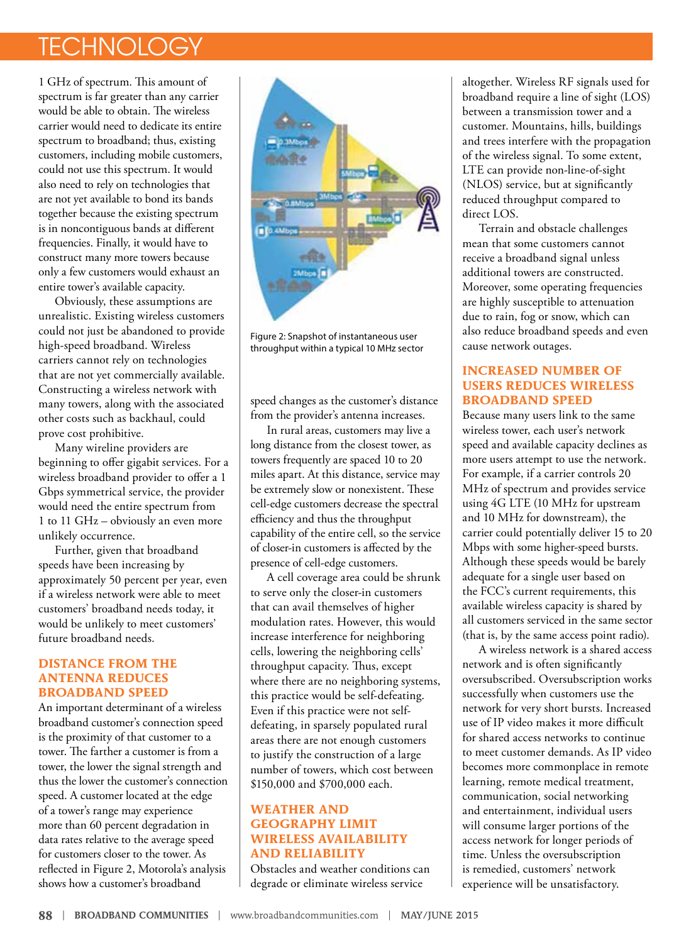# **TECHNOLOGY**

1 GHz of spectrum. This amount of spectrum is far greater than any carrier would be able to obtain. The wireless carrier would need to dedicate its entire spectrum to broadband; thus, existing customers, including mobile customers, could not use this spectrum. It would also need to rely on technologies that are not yet available to bond its bands together because the existing spectrum is in noncontiguous bands at different frequencies. Finally, it would have to construct many more towers because only a few customers would exhaust an entire tower's available capacity.

Obviously, these assumptions are unrealistic. Existing wireless customers could not just be abandoned to provide high‐speed broadband. Wireless carriers cannot rely on technologies that are not yet commercially available. Constructing a wireless network with many towers, along with the associated other costs such as backhaul, could prove cost prohibitive.

Many wireline providers are beginning to offer gigabit services. For a wireless broadband provider to offer a 1 Gbps symmetrical service, the provider would need the entire spectrum from 1 to 11 GHz – obviously an even more unlikely occurrence.

Further, given that broadband speeds have been increasing by approximately 50 percent per year, even if a wireless network were able to meet customers' broadband needs today, it would be unlikely to meet customers' future broadband needs.

#### **DISTANCE FROM THE ANTENNA REDUCES BROADBAND SPEED**

An important determinant of a wireless broadband customer's connection speed is the proximity of that customer to a tower. The farther a customer is from a tower, the lower the signal strength and thus the lower the customer's connection speed. A customer located at the edge of a tower's range may experience more than 60 percent degradation in data rates relative to the average speed for customers closer to the tower. As reflected in Figure 2, Motorola's analysis shows how a customer's broadband



Figure 2: Snapshot of instantaneous user throughput within a typical 10 MHz sector

speed changes as the customer's distance from the provider's antenna increases.

In rural areas, customers may live a long distance from the closest tower, as towers frequently are spaced 10 to 20 miles apart. At this distance, service may be extremely slow or nonexistent. These cell‐edge customers decrease the spectral efficiency and thus the throughput capability of the entire cell, so the service of closer‐in customers is affected by the presence of cell‐edge customers.

A cell coverage area could be shrunk to serve only the closer‐in customers that can avail themselves of higher modulation rates. However, this would increase interference for neighboring cells, lowering the neighboring cells' throughput capacity. Thus, except where there are no neighboring systems, this practice would be self‐defeating. Even if this practice were not self‐ defeating, in sparsely populated rural areas there are not enough customers to justify the construction of a large number of towers, which cost between \$150,000 and \$700,000 each.

### **WEATHER AND GEOGRAPHY LIMIT WIRELESS AVAILABILITY AND RELIABILITY**

Obstacles and weather conditions can degrade or eliminate wireless service

altogether. Wireless RF signals used for broadband require a line of sight (LOS) between a transmission tower and a customer. Mountains, hills, buildings and trees interfere with the propagation of the wireless signal. To some extent, LTE can provide non‐line‐of‐sight (NLOS) service, but at significantly reduced throughput compared to direct LOS.

Terrain and obstacle challenges mean that some customers cannot receive a broadband signal unless additional towers are constructed. Moreover, some operating frequencies are highly susceptible to attenuation due to rain, fog or snow, which can also reduce broadband speeds and even cause network outages.

### **INCREASED NUMBER OF USERS REDUCES WIRELESS BROADBAND SPEED**

Because many users link to the same wireless tower, each user's network speed and available capacity declines as more users attempt to use the network. For example, if a carrier controls 20 MHz of spectrum and provides service using 4G LTE (10 MHz for upstream and 10 MHz for downstream), the carrier could potentially deliver 15 to 20 Mbps with some higher-speed bursts. Although these speeds would be barely adequate for a single user based on the FCC's current requirements, this available wireless capacity is shared by all customers serviced in the same sector (that is, by the same access point radio).

A wireless network is a shared access network and is often significantly oversubscribed. Oversubscription works successfully when customers use the network for very short bursts. Increased use of IP video makes it more difficult for shared access networks to continue to meet customer demands. As IP video becomes more commonplace in remote learning, remote medical treatment, communication, social networking and entertainment, individual users will consume larger portions of the access network for longer periods of time. Unless the oversubscription is remedied, customers' network experience will be unsatisfactory.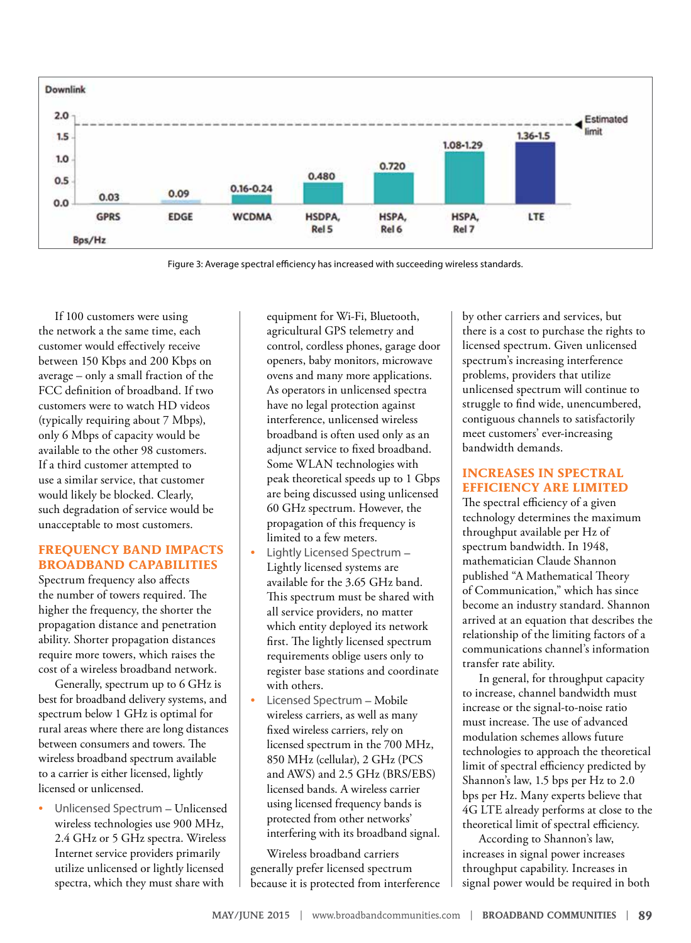

Figure 3: Average spectral efficiency has increased with succeeding wireless standards.

If 100 customers were using the network a the same time, each customer would effectively receive between 150 Kbps and 200 Kbps on average – only a small fraction of the FCC definition of broadband. If two customers were to watch HD videos (typically requiring about 7 Mbps), only 6 Mbps of capacity would be available to the other 98 customers. If a third customer attempted to use a similar service, that customer would likely be blocked. Clearly, such degradation of service would be unacceptable to most customers.

#### **FREQUENCY BAND IMPACTS BROADBAND CAPABILITIES**

Spectrum frequency also affects the number of towers required. The higher the frequency, the shorter the propagation distance and penetration ability. Shorter propagation distances require more towers, which raises the cost of a wireless broadband network.

Generally, spectrum up to 6 GHz is best for broadband delivery systems, and spectrum below 1 GHz is optimal for rural areas where there are long distances between consumers and towers. The wireless broadband spectrum available to a carrier is either licensed, lightly licensed or unlicensed.

• Unlicensed Spectrum – Unlicensed wireless technologies use 900 MHz, 2.4 GHz or 5 GHz spectra. Wireless Internet service providers primarily utilize unlicensed or lightly licensed spectra, which they must share with

equipment for Wi‐Fi, Bluetooth, agricultural GPS telemetry and control, cordless phones, garage door openers, baby monitors, microwave ovens and many more applications. As operators in unlicensed spectra have no legal protection against interference, unlicensed wireless broadband is often used only as an adjunct service to fixed broadband. Some WLAN technologies with peak theoretical speeds up to 1 Gbps are being discussed using unlicensed 60 GHz spectrum. However, the propagation of this frequency is limited to a few meters.

- Lightly Licensed Spectrum Lightly licensed systems are available for the 3.65 GHz band. This spectrum must be shared with all service providers, no matter which entity deployed its network first. The lightly licensed spectrum requirements oblige users only to register base stations and coordinate with others.
- Licensed Spectrum Mobile wireless carriers, as well as many fixed wireless carriers, rely on licensed spectrum in the 700 MHz, 850 MHz (cellular), 2 GHz (PCS and AWS) and 2.5 GHz (BRS/EBS) licensed bands. A wireless carrier using licensed frequency bands is protected from other networks' interfering with its broadband signal.

Wireless broadband carriers generally prefer licensed spectrum because it is protected from interference

by other carriers and services, but there is a cost to purchase the rights to licensed spectrum. Given unlicensed spectrum's increasing interference problems, providers that utilize unlicensed spectrum will continue to struggle to find wide, unencumbered, contiguous channels to satisfactorily meet customers' ever-increasing bandwidth demands.

#### **INCREASES IN SPECTRAL EFFICIENCY ARE LIMITED**

The spectral efficiency of a given technology determines the maximum throughput available per Hz of spectrum bandwidth. In 1948, mathematician Claude Shannon published "A Mathematical Theory of Communication," which has since become an industry standard. Shannon arrived at an equation that describes the relationship of the limiting factors of a communications channel's information transfer rate ability.

In general, for throughput capacity to increase, channel bandwidth must increase or the signal‐to‐noise ratio must increase. The use of advanced modulation schemes allows future technologies to approach the theoretical limit of spectral efficiency predicted by Shannon's law, 1.5 bps per Hz to 2.0 bps per Hz. Many experts believe that 4G LTE already performs at close to the theoretical limit of spectral efficiency.

According to Shannon's law, increases in signal power increases throughput capability. Increases in signal power would be required in both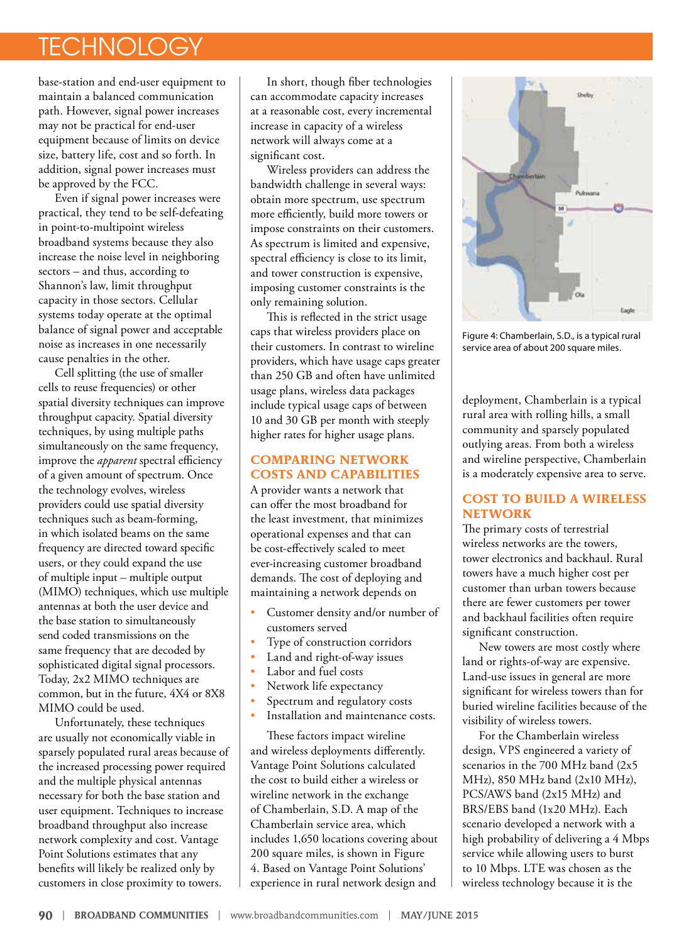# **TECHNOLOGY**

base-station and end-user equipment to maintain a balanced communication path. However, signal power increases may not be practical for end-user equipment because of limits on device size, battery life, cost and so forth. In addition, signal power increases must be approved by the FCC.

Even if signal power increases were practical, they tend to be self‐defeating in point‐to‐multipoint wireless broadband systems because they also increase the noise level in neighboring sectors – and thus, according to Shannon's law, limit throughput capacity in those sectors. Cellular systems today operate at the optimal balance of signal power and acceptable noise as increases in one necessarily cause penalties in the other.

Cell splitting (the use of smaller cells to reuse frequencies) or other spatial diversity techniques can improve throughput capacity. Spatial diversity techniques, by using multiple paths simultaneously on the same frequency, improve the *apparent* spectral efficiency of a given amount of spectrum. Once the technology evolves, wireless providers could use spatial diversity techniques such as beam‐forming, in which isolated beams on the same frequency are directed toward specific users, or they could expand the use of multiple input – multiple output (MIMO) techniques, which use multiple antennas at both the user device and the base station to simultaneously send coded transmissions on the same frequency that are decoded by sophisticated digital signal processors. Today, 2x2 MIMO techniques are common, but in the future, 4X4 or 8X8 MIMO could be used.

Unfortunately, these techniques are usually not economically viable in sparsely populated rural areas because of the increased processing power required and the multiple physical antennas necessary for both the base station and user equipment. Techniques to increase broadband throughput also increase network complexity and cost. Vantage Point Solutions estimates that any benefits will likely be realized only by customers in close proximity to towers.

In short, though fiber technologies can accommodate capacity increases at a reasonable cost, every incremental increase in capacity of a wireless network will always come at a significant cost.

Wireless providers can address the bandwidth challenge in several ways: obtain more spectrum, use spectrum more efficiently, build more towers or impose constraints on their customers. As spectrum is limited and expensive, spectral efficiency is close to its limit, and tower construction is expensive, imposing customer constraints is the only remaining solution.

This is reflected in the strict usage caps that wireless providers place on their customers. In contrast to wireline providers, which have usage caps greater than 250 GB and often have unlimited usage plans, wireless data packages include typical usage caps of between 10 and 30 GB per month with steeply higher rates for higher usage plans.

## **COMPARING NETWORK COSTS AND CAPABILITIES**

A provider wants a network that can offer the most broadband for the least investment, that minimizes operational expenses and that can be cost-effectively scaled to meet ever‐increasing customer broadband demands. The cost of deploying and maintaining a network depends on

- Customer density and/or number of customers served
- Type of construction corridors
- Land and right-of-way issues
- Labor and fuel costs
- Network life expectancy
- Spectrum and regulatory costs
- Installation and maintenance costs.

These factors impact wireline and wireless deployments differently. Vantage Point Solutions calculated the cost to build either a wireless or wireline network in the exchange of Chamberlain, S.D. A map of the Chamberlain service area, which includes 1,650 locations covering about 200 square miles, is shown in Figure 4. Based on Vantage Point Solutions' experience in rural network design and



Figure 4: Chamberlain, S.D., is a typical rural service area of about 200 square miles.

deployment, Chamberlain is a typical rural area with rolling hills, a small community and sparsely populated outlying areas. From both a wireless and wireline perspective, Chamberlain is a moderately expensive area to serve.

## **COST TO BUILD A WIRELESS NETWORK**

The primary costs of terrestrial wireless networks are the towers, tower electronics and backhaul. Rural towers have a much higher cost per customer than urban towers because there are fewer customers per tower and backhaul facilities often require significant construction.

New towers are most costly where land or rights-of-way are expensive. Land‐use issues in general are more significant for wireless towers than for buried wireline facilities because of the visibility of wireless towers.

For the Chamberlain wireless design, VPS engineered a variety of scenarios in the 700 MHz band (2x5 MHz), 850 MHz band (2x10 MHz), PCS/AWS band (2x15 MHz) and BRS/EBS band (1x20 MHz). Each scenario developed a network with a high probability of delivering a 4 Mbps service while allowing users to burst to 10 Mbps. LTE was chosen as the wireless technology because it is the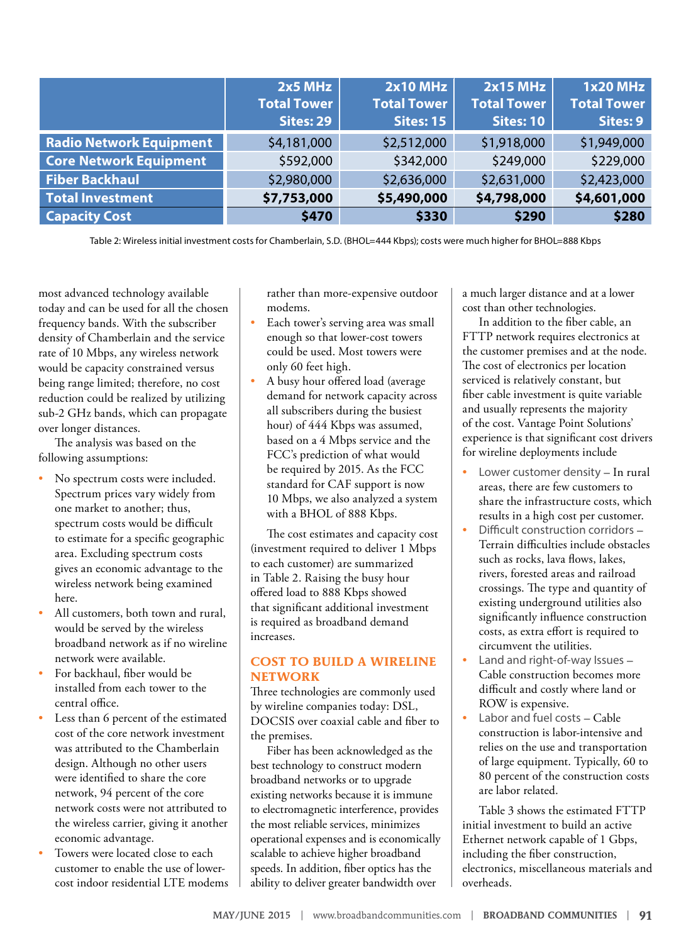|                                | $2x5$ MHz<br><b>Total Tower</b><br><b>Sites: 29</b> | <b>2x10 MHz</b><br><b>Total Tower</b><br><b>Sites: 15</b> | 2x15 MHz<br><b>Total Tower</b><br><b>Sites: 10</b> | <b>1x20 MHz</b><br><b>Total Tower</b><br>Sites: 9 |
|--------------------------------|-----------------------------------------------------|-----------------------------------------------------------|----------------------------------------------------|---------------------------------------------------|
| <b>Radio Network Equipment</b> | \$4,181,000                                         | \$2,512,000                                               | \$1,918,000                                        | \$1,949,000                                       |
| <b>Core Network Equipment</b>  | \$592,000                                           | \$342,000                                                 | \$249,000                                          | \$229,000                                         |
| <b>Fiber Backhaul</b>          | \$2,980,000                                         | \$2,636,000                                               | \$2,631,000                                        | \$2,423,000                                       |
| <b>Total Investment</b>        | \$7,753,000                                         | \$5,490,000                                               | \$4,798,000                                        | \$4,601,000                                       |
| <b>Capacity Cost</b>           | \$470                                               | \$330                                                     | \$290                                              | \$280                                             |

Table 2: Wireless initial investment costs for Chamberlain, S.D. (BHOL=444 Kbps); costs were much higher for BHOL=888 Kbps

most advanced technology available today and can be used for all the chosen frequency bands. With the subscriber density of Chamberlain and the service rate of 10 Mbps, any wireless network would be capacity constrained versus being range limited; therefore, no cost reduction could be realized by utilizing sub‐2 GHz bands, which can propagate over longer distances.

The analysis was based on the following assumptions:

- No spectrum costs were included. Spectrum prices vary widely from one market to another; thus, spectrum costs would be difficult to estimate for a specific geographic area. Excluding spectrum costs gives an economic advantage to the wireless network being examined here.
- All customers, both town and rural, would be served by the wireless broadband network as if no wireline network were available.
- For backhaul, fiber would be installed from each tower to the central office.
- Less than 6 percent of the estimated cost of the core network investment was attributed to the Chamberlain design. Although no other users were identified to share the core network, 94 percent of the core network costs were not attributed to the wireless carrier, giving it another economic advantage.
- Towers were located close to each customer to enable the use of lower‐ cost indoor residential LTE modems

rather than more-expensive outdoor modems.

- Each tower's serving area was small enough so that lower‐cost towers could be used. Most towers were only 60 feet high.
- A busy hour offered load (average demand for network capacity across all subscribers during the busiest hour) of 444 Kbps was assumed, based on a 4 Mbps service and the FCC's prediction of what would be required by 2015. As the FCC standard for CAF support is now 10 Mbps, we also analyzed a system with a BHOL of 888 Kbps.

The cost estimates and capacity cost (investment required to deliver 1 Mbps to each customer) are summarized in Table 2. Raising the busy hour offered load to 888 Kbps showed that significant additional investment is required as broadband demand increases.

#### **COST TO BUILD A WIRELINE NETWORK**

Three technologies are commonly used by wireline companies today: DSL, DOCSIS over coaxial cable and fiber to the premises.

Fiber has been acknowledged as the best technology to construct modern broadband networks or to upgrade existing networks because it is immune to electromagnetic interference, provides the most reliable services, minimizes operational expenses and is economically scalable to achieve higher broadband speeds. In addition, fiber optics has the ability to deliver greater bandwidth over

a much larger distance and at a lower cost than other technologies.

In addition to the fiber cable, an FTTP network requires electronics at the customer premises and at the node. The cost of electronics per location serviced is relatively constant, but fiber cable investment is quite variable and usually represents the majority of the cost. Vantage Point Solutions' experience is that significant cost drivers for wireline deployments include

- Lower customer density In rural areas, there are few customers to share the infrastructure costs, which results in a high cost per customer.
- Difficult construction corridors Terrain difficulties include obstacles such as rocks, lava flows, lakes, rivers, forested areas and railroad crossings. The type and quantity of existing underground utilities also significantly influence construction costs, as extra effort is required to circumvent the utilities.
- Land and right-of-way Issues Cable construction becomes more difficult and costly where land or ROW is expensive.
- Labor and fuel costs Cable construction is labor-intensive and relies on the use and transportation of large equipment. Typically, 60 to 80 percent of the construction costs are labor related.

Table 3 shows the estimated FTTP initial investment to build an active Ethernet network capable of 1 Gbps, including the fiber construction, electronics, miscellaneous materials and overheads.